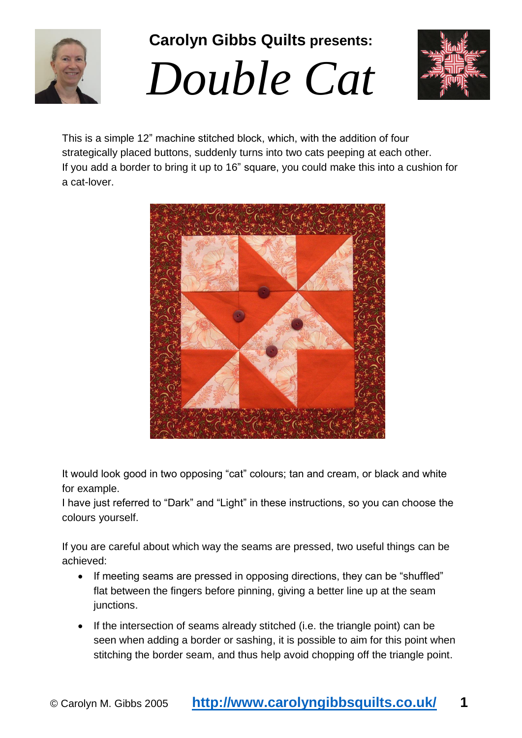

**Carolyn Gibbs Quilts presents:** 





This is a simple 12" machine stitched block, which, with the addition of four strategically placed buttons, suddenly turns into two cats peeping at each other. If you add a border to bring it up to 16" square, you could make this into a cushion for a cat-lover.



It would look good in two opposing "cat" colours; tan and cream, or black and white for example.

I have just referred to "Dark" and "Light" in these instructions, so you can choose the colours yourself.

If you are careful about which way the seams are pressed, two useful things can be achieved:

- If meeting seams are pressed in opposing directions, they can be "shuffled" flat between the fingers before pinning, giving a better line up at the seam junctions.
- If the intersection of seams already stitched (i.e. the triangle point) can be seen when adding a border or sashing, it is possible to aim for this point when stitching the border seam, and thus help avoid chopping off the triangle point.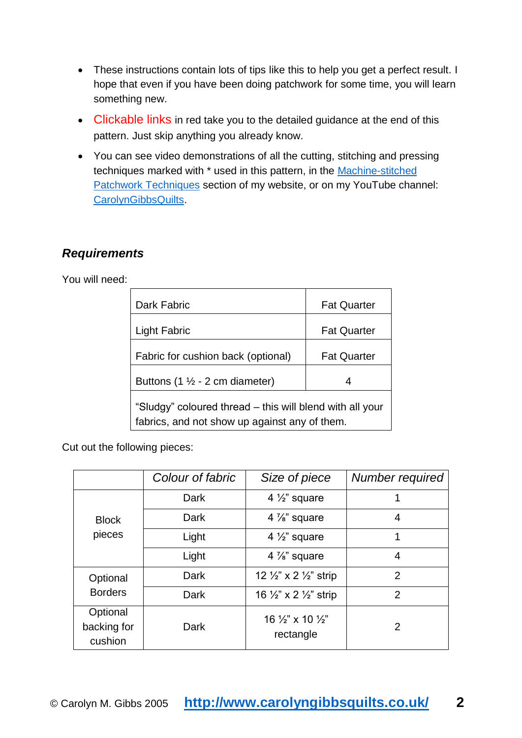- These instructions contain lots of tips like this to help you get a perfect result. I hope that even if you have been doing patchwork for some time, you will learn something new.
- Clickable links in red take you to the detailed quidance at the end of this pattern. Just skip anything you already know.
- You can see video demonstrations of all the cutting, stitching and pressing techniques marked with \* used in this pattern, in the [Machine-stitched](http://www.carolyngibbsquilts.co.uk/techniques/patchwork-machine-stitched/)  [Patchwork Techniques](http://www.carolyngibbsquilts.co.uk/techniques/patchwork-machine-stitched/) section of my website, or on my YouTube channel: [CarolynGibbsQuilts.](https://www.youtube.com/channel/UCCMcbD0ZjHd8FD827yWoxYg?view_as=public)

## *Requirements*

You will need:

| Dark Fabric                                                                                               | <b>Fat Quarter</b> |  |  |
|-----------------------------------------------------------------------------------------------------------|--------------------|--|--|
| <b>Light Fabric</b>                                                                                       | <b>Fat Quarter</b> |  |  |
| Fabric for cushion back (optional)                                                                        | <b>Fat Quarter</b> |  |  |
| Buttons (1 $\frac{1}{2}$ - 2 cm diameter)                                                                 | 4                  |  |  |
| "Sludgy" coloured thread – this will blend with all your<br>fabrics, and not show up against any of them. |                    |  |  |

Cut out the following pieces:

|                                    | Colour of fabric | Size of piece                                        | Number required |
|------------------------------------|------------------|------------------------------------------------------|-----------------|
| <b>Block</b><br>pieces             | Dark             | 4 $\frac{1}{2}$ " square                             |                 |
|                                    | Dark             | 4 $\frac{7}{8}$ " square                             | 4               |
|                                    | Light            | 4 $\frac{1}{2}$ " square                             | 1               |
|                                    | Light            | 4 $\frac{7}{8}$ " square                             | 4               |
| Optional<br><b>Borders</b>         | Dark             | 12 1/2" x 2 1/2" strip                               | $\overline{2}$  |
|                                    | Dark             | 16 $\frac{1}{2}$ " x 2 $\frac{1}{2}$ " strip         | $\overline{2}$  |
| Optional<br>backing for<br>cushion | Dark             | 16 $\frac{1}{2}$ " x 10 $\frac{1}{2}$ "<br>rectangle | 2               |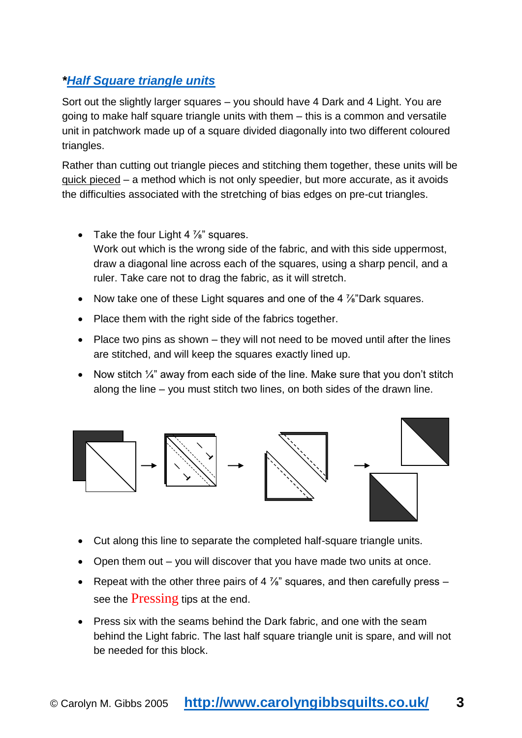## *[\\*Half Square triangle units](http://www.carolyngibbsquilts.co.uk/techniques/patchwork-machine-stitched/basic-machine-piecing-half-square-triangle-units/)*

Sort out the slightly larger squares – you should have 4 Dark and 4 Light. You are going to make half square triangle units with them – this is a common and versatile unit in patchwork made up of a square divided diagonally into two different coloured triangles.

Rather than cutting out triangle pieces and stitching them together, these units will be quick pieced – a method which is not only speedier, but more accurate, as it avoids the difficulties associated with the stretching of bias edges on pre-cut triangles.

- Take the four Light 4  $\frac{7}{8}$ " squares. Work out which is the wrong side of the fabric, and with this side uppermost, draw a diagonal line across each of the squares, using a sharp pencil, and a ruler. Take care not to drag the fabric, as it will stretch.
- Now take one of these Light squares and one of the 4  $\frac{7}{8}$ "Dark squares.
- Place them with the right side of the fabrics together.
- Place two pins as shown they will not need to be moved until after the lines are stitched, and will keep the squares exactly lined up.
- Now stitch  $\frac{1}{4}$ " away from each side of the line. Make sure that you don't stitch along the line – you must stitch two lines, on both sides of the drawn line.



- Cut along this line to separate the completed half-square triangle units.
- Open them out you will discover that you have made two units at once.
- Repeat with the other three pairs of 4  $\frac{7}{8}$ " squares, and then carefully press see the **[Pressing](#page-7-0)** tips at the end.
- Press six with the seams behind the Dark fabric, and one with the seam behind the Light fabric. The last half square triangle unit is spare, and will not be needed for this block.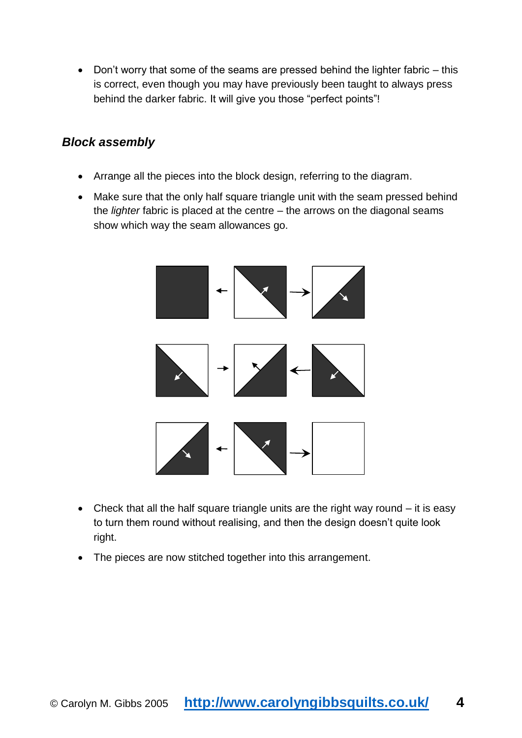Don't worry that some of the seams are pressed behind the lighter fabric – this is correct, even though you may have previously been taught to always press behind the darker fabric. It will give you those "perfect points"!

#### *Block assembly*

- Arrange all the pieces into the block design, referring to the diagram.
- Make sure that the only half square triangle unit with the seam pressed behind the *lighter* fabric is placed at the centre – the arrows on the diagonal seams show which way the seam allowances go.



- Check that all the half square triangle units are the right way round it is easy to turn them round without realising, and then the design doesn't quite look right.
- The pieces are now stitched together into this arrangement.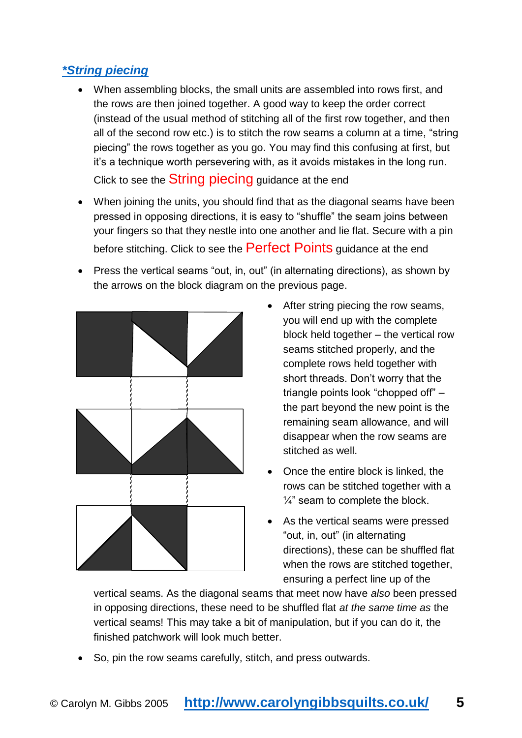## *[\\*String piecing](http://www.carolyngibbsquilts.co.uk/techniques/patchwork-machine-stitched/basic-machine-piecing-half-square-triangle-units/)*

- When assembling blocks, the small units are assembled into rows first, and the rows are then joined together. A good way to keep the order correct (instead of the usual method of stitching all of the first row together, and then all of the second row etc.) is to stitch the row seams a column at a time, "string piecing" the rows together as you go. You may find this confusing at first, but it's a technique worth persevering with, as it avoids mistakes in the long run. Click to see the **[String piecing](#page-8-0)** guidance at the end
- When joining the units, you should find that as the diagonal seams have been pressed in opposing directions, it is easy to "shuffle" the seam joins between your fingers so that they nestle into one another and lie flat. Secure with a pin before stitching. Click to see the [Perfect Points](#page-9-0) guidance at the end
- Press the vertical seams "out, in, out" (in alternating directions), as shown by the arrows on the block diagram on the previous page.



- After string piecing the row seams, you will end up with the complete block held together – the vertical row seams stitched properly, and the complete rows held together with short threads. Don't worry that the triangle points look "chopped off" – the part beyond the new point is the remaining seam allowance, and will disappear when the row seams are stitched as well.
- Once the entire block is linked, the rows can be stitched together with a  $\frac{1}{4}$ " seam to complete the block.
- As the vertical seams were pressed "out, in, out" (in alternating directions), these can be shuffled flat when the rows are stitched together, ensuring a perfect line up of the

vertical seams. As the diagonal seams that meet now have *also* been pressed in opposing directions, these need to be shuffled flat *at the same time as* the vertical seams! This may take a bit of manipulation, but if you can do it, the finished patchwork will look much better.

• So, pin the row seams carefully, stitch, and press outwards.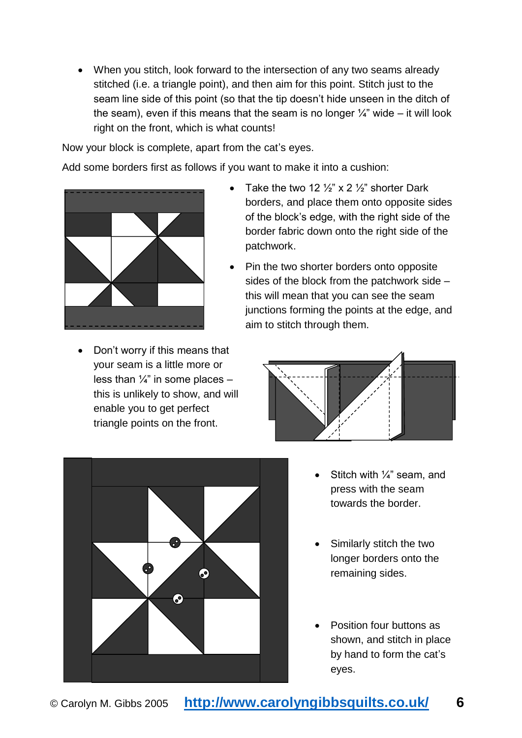When you stitch, look forward to the intersection of any two seams already stitched (i.e. a triangle point), and then aim for this point. Stitch just to the seam line side of this point (so that the tip doesn't hide unseen in the ditch of the seam), even if this means that the seam is no longer  $\frac{1}{4}$ " wide – it will look right on the front, which is what counts!

Now your block is complete, apart from the cat's eyes.

Add some borders first as follows if you want to make it into a cushion:



• Don't worry if this means that your seam is a little more or less than  $\frac{1}{4}$ " in some places this is unlikely to show, and will enable you to get perfect triangle points on the front.

- Take the two 12  $\frac{1}{2}$ " x 2  $\frac{1}{2}$ " shorter Dark borders, and place them onto opposite sides of the block's edge, with the right side of the border fabric down onto the right side of the patchwork.
- Pin the two shorter borders onto opposite sides of the block from the patchwork side – this will mean that you can see the seam junctions forming the points at the edge, and aim to stitch through them.





- Stitch with 1/4" seam, and press with the seam towards the border.
- Similarly stitch the two longer borders onto the remaining sides.
- Position four buttons as shown, and stitch in place by hand to form the cat's eyes.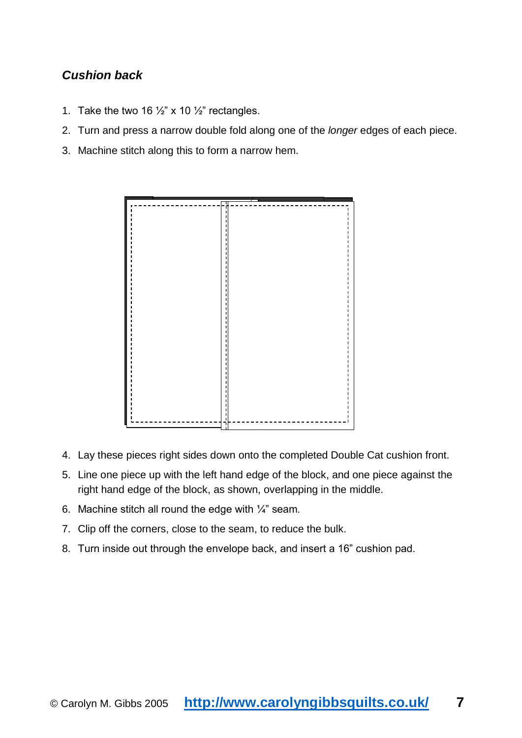## *Cushion back*

- 1. Take the two 16  $\frac{1}{2}$ " x 10  $\frac{1}{2}$ " rectangles.
- 2. Turn and press a narrow double fold along one of the *longer* edges of each piece.
- 3. Machine stitch along this to form a narrow hem.



- 4. Lay these pieces right sides down onto the completed Double Cat cushion front.
- 5. Line one piece up with the left hand edge of the block, and one piece against the right hand edge of the block, as shown, overlapping in the middle.
- 6. Machine stitch all round the edge with  $\frac{1}{4}$ " seam.
- 7. Clip off the corners, close to the seam, to reduce the bulk.
- 8. Turn inside out through the envelope back, and insert a 16" cushion pad.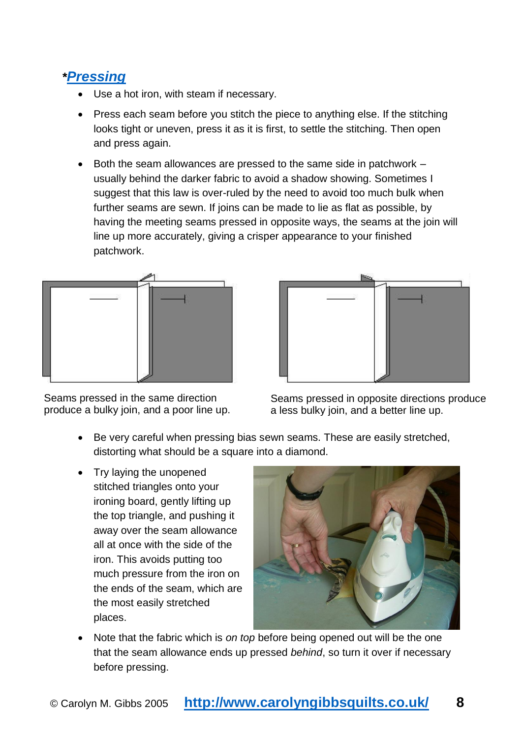# <span id="page-7-0"></span>*\*[Pressing](http://www.carolyngibbsquilts.co.uk/techniques/patchwork-machine-stitched/basic-machine-piecing-pressing/)*

- Use a hot iron, with steam if necessary.
- Press each seam before you stitch the piece to anything else. If the stitching looks tight or uneven, press it as it is first, to settle the stitching. Then open and press again.
- $\bullet$  Both the seam allowances are pressed to the same side in patchwork  $$ usually behind the darker fabric to avoid a shadow showing. Sometimes I suggest that this law is over-ruled by the need to avoid too much bulk when further seams are sewn. If joins can be made to lie as flat as possible, by having the meeting seams pressed in opposite ways, the seams at the join will line up more accurately, giving a crisper appearance to your finished patchwork.



Seams pressed in the same direction produce a bulky join, and a poor line up.



Seams pressed in opposite directions produce a less bulky join, and a better line up.

- Be very careful when pressing bias sewn seams. These are easily stretched, distorting what should be a square into a diamond.
- Try laying the unopened stitched triangles onto your ironing board, gently lifting up the top triangle, and pushing it away over the seam allowance all at once with the side of the iron. This avoids putting too much pressure from the iron on the ends of the seam, which are the most easily stretched places.



 Note that the fabric which is *on top* before being opened out will be the one that the seam allowance ends up pressed *behind*, so turn it over if necessary before pressing.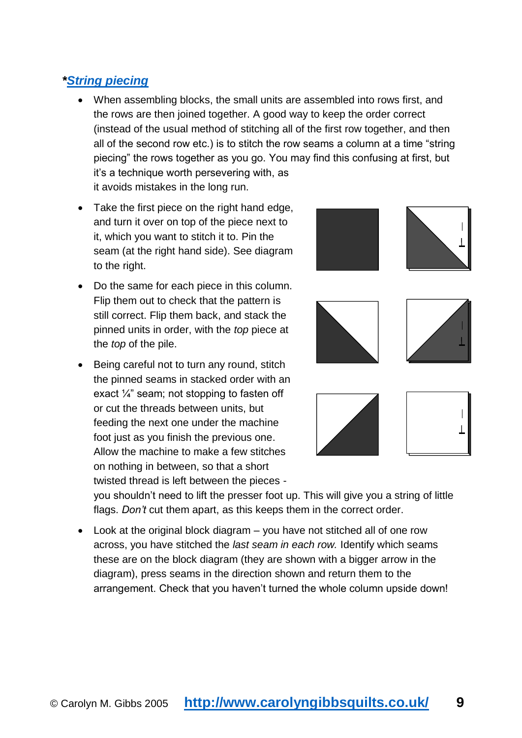## <span id="page-8-0"></span>*[\\*String piecing](http://www.carolyngibbsquilts.co.uk/techniques/patchwork-machine-stitched/basic-machine-piecing-block-assembly-with-string-piecing/)*

- When assembling blocks, the small units are assembled into rows first, and the rows are then joined together. A good way to keep the order correct (instead of the usual method of stitching all of the first row together, and then all of the second row etc.) is to stitch the row seams a column at a time "string piecing" the rows together as you go. You may find this confusing at first, but it's a technique worth persevering with, as it avoids mistakes in the long run.
- Take the first piece on the right hand edge, and turn it over on top of the piece next to it, which you want to stitch it to. Pin the seam (at the right hand side). See diagram to the right.
- Do the same for each piece in this column. Flip them out to check that the pattern is still correct. Flip them back, and stack the pinned units in order, with the *top* piece at the *top* of the pile.
- Being careful not to turn any round, stitch the pinned seams in stacked order with an exact  $\frac{1}{4}$ " seam; not stopping to fasten off or cut the threads between units, but feeding the next one under the machine foot just as you finish the previous one. Allow the machine to make a few stitches on nothing in between, so that a short twisted thread is left between the pieces -



you shouldn't need to lift the presser foot up. This will give you a string of little flags. *Don't* cut them apart, as this keeps them in the correct order.

 Look at the original block diagram – you have not stitched all of one row across, you have stitched the *last seam in each row.* Identify which seams these are on the block diagram (they are shown with a bigger arrow in the diagram), press seams in the direction shown and return them to the arrangement. Check that you haven't turned the whole column upside down!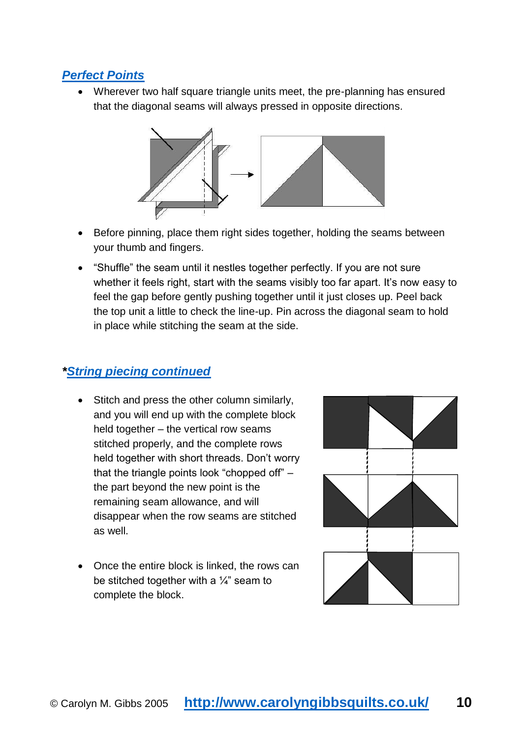## <span id="page-9-0"></span>*[Perfect Points](http://www.carolyngibbsquilts.co.uk/techniques/patchwork-machine-stitched/pressing-for-perfect-points/)*

 Wherever two half square triangle units meet, the pre-planning has ensured that the diagonal seams will always pressed in opposite directions.



- Before pinning, place them right sides together, holding the seams between your thumb and fingers.
- "Shuffle" the seam until it nestles together perfectly. If you are not sure whether it feels right, start with the seams visibly too far apart. It's now easy to feel the gap before gently pushing together until it just closes up. Peel back the top unit a little to check the line-up. Pin across the diagonal seam to hold in place while stitching the seam at the side.

## *[\\*String piecing continued](http://www.carolyngibbsquilts.co.uk/techniques/patchwork-machine-stitched/basic-machine-piecing-block-assembly-with-string-piecing/)*

- Stitch and press the other column similarly, and you will end up with the complete block held together – the vertical row seams stitched properly, and the complete rows held together with short threads. Don't worry that the triangle points look "chopped off" – the part beyond the new point is the remaining seam allowance, and will disappear when the row seams are stitched as well.
- Once the entire block is linked, the rows can be stitched together with a  $\frac{1}{4}$ " seam to complete the block.